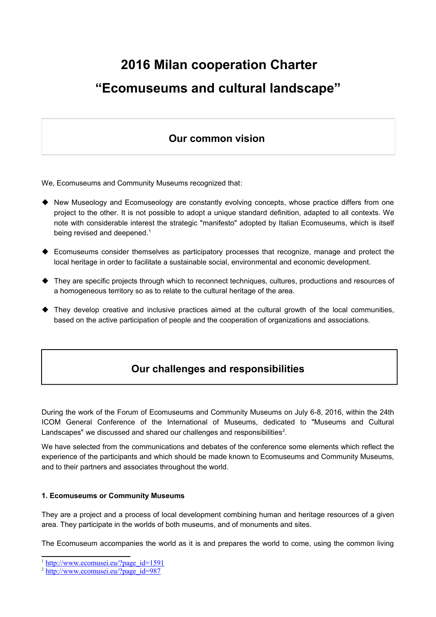# **2016 Milan cooperation Charter "Ecomuseums and cultural landscape"**

## **Our common vision**

We, Ecomuseums and Community Museums recognized that:

- ◆ New Museology and Ecomuseology are constantly evolving concepts, whose practice differs from one project to the other. It is not possible to adopt a unique standard definition, adapted to all contexts. We note with considerable interest the strategic "manifesto" adopted by Italian Ecomuseums, which is itself being revised and deepened.<sup>[1](#page-0-0)</sup>
- Ecomuseums consider themselves as participatory processes that recognize, manage and protect the local heritage in order to facilitate a sustainable social, environmental and economic development.
- They are specific projects through which to reconnect techniques, cultures, productions and resources of a homogeneous territory so as to relate to the cultural heritage of the area.
- They develop creative and inclusive practices aimed at the cultural growth of the local communities, based on the active participation of people and the cooperation of organizations and associations.

## **Our challenges and responsibilities**

During the work of the Forum of Ecomuseums and Community Museums on July 6-8, 2016, within the 24th ICOM General Conference of the International of Museums, dedicated to "Museums and Cultural Landscapes" we discussed and shared our challenges and responsibilities<sup>[2](#page-0-1)</sup>.

We have selected from the communications and debates of the conference some elements which reflect the experience of the participants and which should be made known to Ecomuseums and Community Museums, and to their partners and associates throughout the world.

#### **1. Ecomuseums or Community Museums**

They are a project and a process of local development combining human and heritage resources of a given area. They participate in the worlds of both museums, and of monuments and sites.

The Ecomuseum accompanies the world as it is and prepares the world to come, using the common living

<span id="page-0-0"></span><sup>&</sup>lt;sup>1</sup> [http://www.ecomusei.eu/?page\\_id=1591](http://www.ecomusei.eu/?page_id=1591)

<span id="page-0-1"></span><sup>&</sup>lt;sup>2</sup> [http://www.ecomusei.eu/?page\\_id=987](http://www.ecomusei.eu/?page_id=987)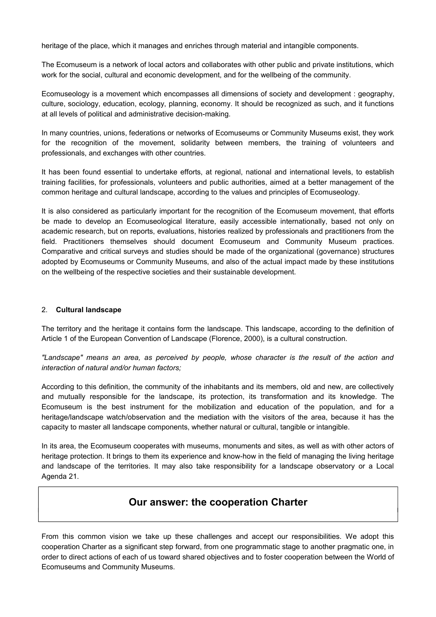heritage of the place, which it manages and enriches through material and intangible components.

The Ecomuseum is a network of local actors and collaborates with other public and private institutions, which work for the social, cultural and economic development, and for the wellbeing of the community.

Ecomuseology is a movement which encompasses all dimensions of society and development : geography, culture, sociology, education, ecology, planning, economy. It should be recognized as such, and it functions at all levels of political and administrative decision-making.

In many countries, unions, federations or networks of Ecomuseums or Community Museums exist, they work for the recognition of the movement, solidarity between members, the training of volunteers and professionals, and exchanges with other countries.

It has been found essential to undertake efforts, at regional, national and international levels, to establish training facilities, for professionals, volunteers and public authorities, aimed at a better management of the common heritage and cultural landscape, according to the values and principles of Ecomuseology.

It is also considered as particularly important for the recognition of the Ecomuseum movement, that efforts be made to develop an Ecomuseological literature, easily accessible internationally, based not only on academic research, but on reports, evaluations, histories realized by professionals and practitioners from the field. Practitioners themselves should document Ecomuseum and Community Museum practices. Comparative and critical surveys and studies should be made of the organizational (governance) structures adopted by Ecomuseums or Community Museums, and also of the actual impact made by these institutions on the wellbeing of the respective societies and their sustainable development.

#### 2. **Cultural landscape**

The territory and the heritage it contains form the landscape. This landscape, according to the definition of Article 1 of the European Convention of Landscape (Florence, 2000), is a cultural construction.

*"Landscape" means an area, as perceived by people, whose character is the result of the action and interaction of natural and/or human factors;* 

According to this definition, the community of the inhabitants and its members, old and new, are collectively and mutually responsible for the landscape, its protection, its transformation and its knowledge. The Ecomuseum is the best instrument for the mobilization and education of the population, and for a heritage/landscape watch/observation and the mediation with the visitors of the area, because it has the capacity to master all landscape components, whether natural or cultural, tangible or intangible.

In its area, the Ecomuseum cooperates with museums, monuments and sites, as well as with other actors of heritage protection. It brings to them its experience and know-how in the field of managing the living heritage and landscape of the territories. It may also take responsibility for a landscape observatory or a Local Agenda 21.

### **Our answer: the cooperation Charter**

From this common vision we take up these challenges and accept our responsibilities. We adopt this cooperation Charter as a significant step forward, from one programmatic stage to another pragmatic one, in order to direct actions of each of us toward shared objectives and to foster cooperation between the World of Ecomuseums and Community Museums.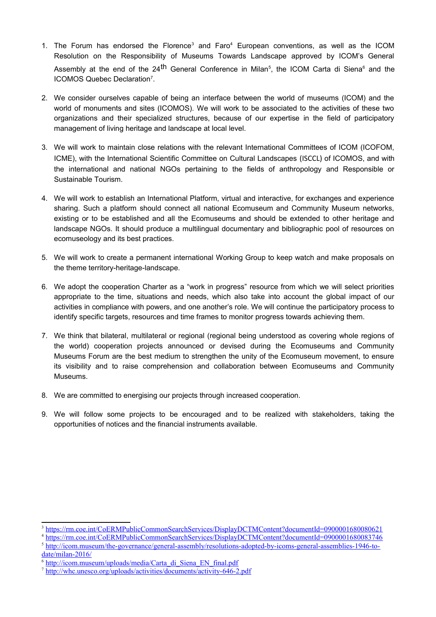- 1. The Forum has endorsed the Florence<sup>[3](#page-2-0)</sup> and Faro<sup>[4](#page-2-1)</sup> European conventions, as well as the ICOM Resolution on the Responsibility of Museums Towards Landscape approved by ICOM's General Assembly at the end of the 24<sup>th</sup> General Conference in Milan<sup>[5](#page-2-2)</sup>, the ICOM Carta di Siena<sup>[6](#page-2-3)</sup> and the ICOMOS Quebec Declaration<sup>[7](#page-2-4)</sup>.
- 2. We consider ourselves capable of being an interface between the world of museums (ICOM) and the world of monuments and sites (ICOMOS). We will work to be associated to the activities of these two organizations and their specialized structures, because of our expertise in the field of participatory management of living heritage and landscape at local level.
- 3. We will work to maintain close relations with the relevant International Committees of ICOM (ICOFOM, ICME), with the International Scientific Committee on Cultural Landscapes (ISCCL) of ICOMOS, and with the international and national NGOs pertaining to the fields of anthropology and Responsible or Sustainable Tourism.
- 4. We will work to establish an International Platform, virtual and interactive, for exchanges and experience sharing. Such a platform should connect all national Ecomuseum and Community Museum networks, existing or to be established and all the Ecomuseums and should be extended to other heritage and landscape NGOs. It should produce a multilingual documentary and bibliographic pool of resources on ecomuseology and its best practices.
- 5. We will work to create a permanent international Working Group to keep watch and make proposals on the theme territory-heritage-landscape.
- 6. We adopt the cooperation Charter as a "work in progress" resource from which we will select priorities appropriate to the time, situations and needs, which also take into account the global impact of our activities in compliance with powers, and one another's role. We will continue the participatory process to identify specific targets, resources and time frames to monitor progress towards achieving them.
- 7. We think that bilateral, multilateral or regional (regional being understood as covering whole regions of the world) cooperation projects announced or devised during the Ecomuseums and Community Museums Forum are the best medium to strengthen the unity of the Ecomuseum movement, to ensure its visibility and to raise comprehension and collaboration between Ecomuseums and Community Museums.
- 8. We are committed to energising our projects through increased cooperation.
- 9. We will follow some projects to be encouraged and to be realized with stakeholders, taking the opportunities of notices and the financial instruments available.

<span id="page-2-0"></span><sup>&</sup>lt;sup>3</sup><https://rm.coe.int/CoERMPublicCommonSearchServices/DisplayDCTMContent?documentId=0900001680080621>

<span id="page-2-1"></span><sup>4</sup> <https://rm.coe.int/CoERMPublicCommonSearchServices/DisplayDCTMContent?documentId=0900001680083746>

<span id="page-2-2"></span><sup>&</sup>lt;sup>5</sup> [http://icom.museum/the-governance/general-assembly/resolutions-adopted-by-icoms-general-assemblies-1946-to](http://icom.museum/the-governance/general-assembly/resolutions-adopted-by-icoms-general-assemblies-1946-to-date/milan-2016/)[date/milan-2016/](http://icom.museum/the-governance/general-assembly/resolutions-adopted-by-icoms-general-assemblies-1946-to-date/milan-2016/)

<span id="page-2-3"></span><sup>&</sup>lt;sup>6</sup> [http://icom.museum/uploads/media/Carta\\_di\\_Siena\\_EN\\_final.pdf](http://icom.museum/uploads/media/Carta_di_Siena_EN_final.pdf)

<span id="page-2-4"></span><sup>&</sup>lt;sup>7</sup> <http://whc.unesco.org/uploads/activities/documents/activity-646-2.pdf>